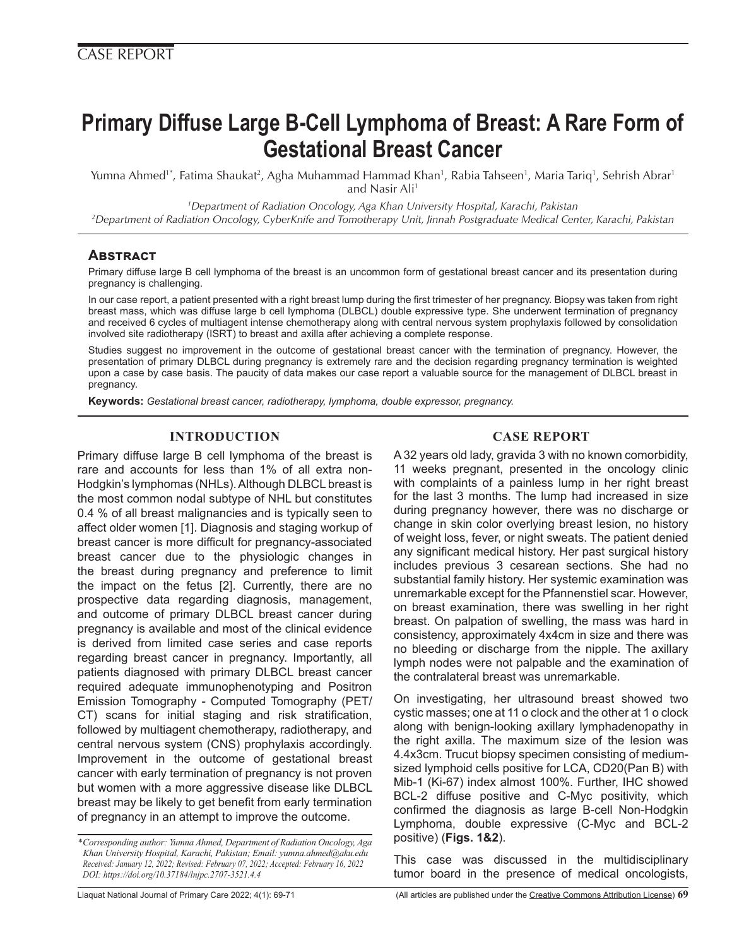# **Primary Diffuse Large B-Cell Lymphoma of Breast: A Rare Form of Gestational Breast Cancer**

Yumna Ahmed'\*, Fatima Shaukat<sup>2</sup>, Agha Muhammad Hammad Khan<sup>1</sup>, Rabia Tahseen<sup>1</sup>, Maria Tariq', Sehrish Abrar<sup>1</sup> and Nasir Ali<sup>1</sup>

*1 Department of Radiation Oncology, Aga Khan University Hospital, Karachi, Pakistan*

*2 Department of Radiation Oncology, CyberKnife and Tomotherapy Unit, Jinnah Postgraduate Medical Center, Karachi, Pakistan*

## **Abstract**

Primary diffuse large B cell lymphoma of the breast is an uncommon form of gestational breast cancer and its presentation during pregnancy is challenging.

In our case report, a patient presented with a right breast lump during the first trimester of her pregnancy. Biopsy was taken from right breast mass, which was diffuse large b cell lymphoma (DLBCL) double expressive type. She underwent termination of pregnancy and received 6 cycles of multiagent intense chemotherapy along with central nervous system prophylaxis followed by consolidation involved site radiotherapy (ISRT) to breast and axilla after achieving a complete response.

Studies suggest no improvement in the outcome of gestational breast cancer with the termination of pregnancy. However, the presentation of primary DLBCL during pregnancy is extremely rare and the decision regarding pregnancy termination is weighted upon a case by case basis. The paucity of data makes our case report a valuable source for the management of DLBCL breast in pregnancy.

**Keywords:** *Gestational breast cancer, radiotherapy, lymphoma, double expressor, pregnancy.*

## **INTRODUCTION**

Primary diffuse large B cell lymphoma of the breast is rare and accounts for less than 1% of all extra non-Hodgkin's lymphomas (NHLs). Although DLBCL breast is the most common nodal subtype of NHL but constitutes 0.4 % of all breast malignancies and is typically seen to affect older women [1]. Diagnosis and staging workup of breast cancer is more difficult for pregnancy-associated breast cancer due to the physiologic changes in the breast during pregnancy and preference to limit the impact on the fetus [2]. Currently, there are no prospective data regarding diagnosis, management, and outcome of primary DLBCL breast cancer during pregnancy is available and most of the clinical evidence is derived from limited case series and case reports regarding breast cancer in pregnancy. Importantly, all patients diagnosed with primary DLBCL breast cancer required adequate immunophenotyping and Positron Emission Tomography - Computed Tomography (PET/ CT) scans for initial staging and risk stratification, followed by multiagent chemotherapy, radiotherapy, and central nervous system (CNS) prophylaxis accordingly. Improvement in the outcome of gestational breast cancer with early termination of pregnancy is not proven but women with a more aggressive disease like DLBCL breast may be likely to get benefit from early termination of pregnancy in an attempt to improve the outcome.

### **CASE REPORT**

A 32 years old lady, gravida 3 with no known comorbidity, 11 weeks pregnant, presented in the oncology clinic with complaints of a painless lump in her right breast for the last 3 months. The lump had increased in size during pregnancy however, there was no discharge or change in skin color overlying breast lesion, no history of weight loss, fever, or night sweats. The patient denied any significant medical history. Her past surgical history includes previous 3 cesarean sections. She had no substantial family history. Her systemic examination was unremarkable except for the Pfannenstiel scar. However, on breast examination, there was swelling in her right breast. On palpation of swelling, the mass was hard in consistency, approximately 4x4cm in size and there was no bleeding or discharge from the nipple. The axillary lymph nodes were not palpable and the examination of the contralateral breast was unremarkable.

On investigating, her ultrasound breast showed two cystic masses; one at 11 o clock and the other at 1 o clock along with benign-looking axillary lymphadenopathy in the right axilla. The maximum size of the lesion was 4.4x3cm. Trucut biopsy specimen consisting of mediumsized lymphoid cells positive for LCA, CD20(Pan B) with Mib-1 (Ki-67) index almost 100%. Further, IHC showed BCL-2 diffuse positive and C-Myc positivity, which confirmed the diagnosis as large B-cell Non-Hodgkin Lymphoma, double expressive (C-Myc and BCL-2 positive) (**Figs. 1&2**).

This case was discussed in the multidisciplinary tumor board in the presence of medical oncologists,

*<sup>\*</sup>Corresponding author: Yumna Ahmed, Department of Radiation Oncology, Aga Khan University Hospital, Karachi, Pakistan; Email: yumna.ahmed@aku.edu Received: January 12, 2022; Revised: February 07, 2022; Accepted: February 16, 2022 DOI: https://doi.org/10.37184/lnjpc.2707-3521.4.4*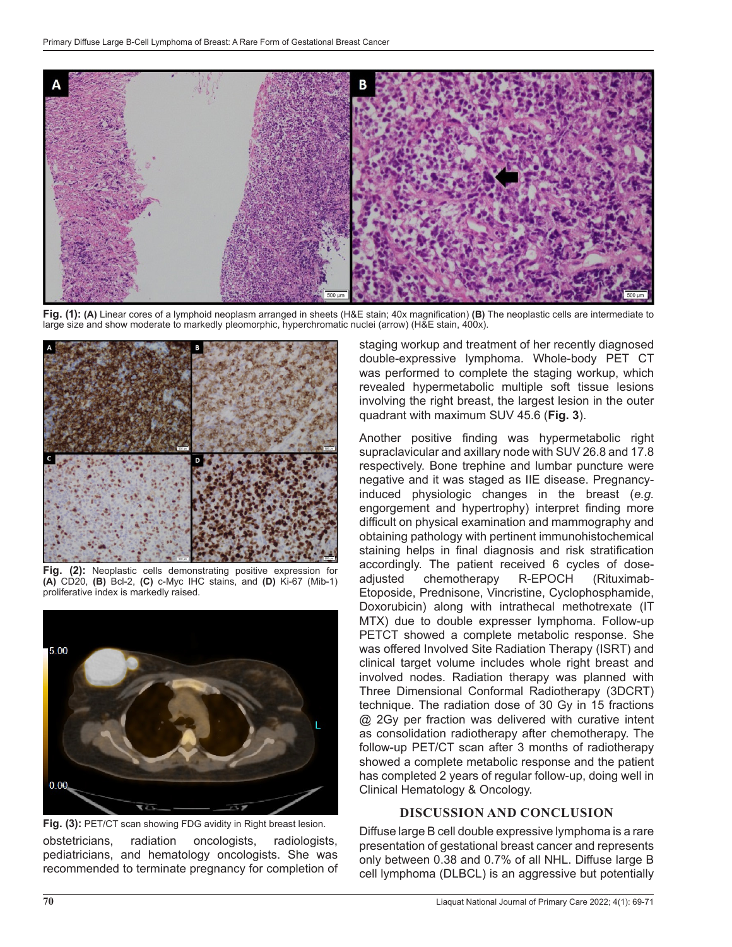

**Fig. (1): (A)** Linear cores of a lymphoid neoplasm arranged in sheets (H&E stain; 40x magnification) **(B)** The neoplastic cells are intermediate to large size and show moderate to markedly pleomorphic, hyperchromatic nuclei (arrow) (H&E stain, 400x).



**Fig. (2):** Neoplastic cells demonstrating positive expression for **(A)** CD20, **(B)** Bcl-2, **(C)** c-Myc IHC stains, and **(D)** Ki-67 (Mib-1) proliferative index is markedly raised.



obstetricians, radiation oncologists, radiologists, pediatricians, and hematology oncologists. She was recommended to terminate pregnancy for completion of **Fig. (3):** PET/CT scan showing FDG avidity in Right breast lesion.

staging workup and treatment of her recently diagnosed double-expressive lymphoma. Whole-body PET CT was performed to complete the staging workup, which revealed hypermetabolic multiple soft tissue lesions involving the right breast, the largest lesion in the outer quadrant with maximum SUV 45.6 (**Fig. 3**).

Another positive finding was hypermetabolic right supraclavicular and axillary node with SUV 26.8 and 17.8 respectively. Bone trephine and lumbar puncture were negative and it was staged as IIE disease. Pregnancyinduced physiologic changes in the breast (*e.g.* engorgement and hypertrophy) interpret finding more difficult on physical examination and mammography and obtaining pathology with pertinent immunohistochemical staining helps in final diagnosis and risk stratification accordingly. The patient received 6 cycles of doseadjusted chemotherapy R-EPOCH (Rituximab-Etoposide, Prednisone, Vincristine, Cyclophosphamide, Doxorubicin) along with intrathecal methotrexate (IT MTX) due to double expresser lymphoma. Follow-up PETCT showed a complete metabolic response. She was offered Involved Site Radiation Therapy (ISRT) and clinical target volume includes whole right breast and involved nodes. Radiation therapy was planned with Three Dimensional Conformal Radiotherapy (3DCRT) technique. The radiation dose of 30 Gy in 15 fractions @ 2Gy per fraction was delivered with curative intent as consolidation radiotherapy after chemotherapy. The follow-up PET/CT scan after 3 months of radiotherapy showed a complete metabolic response and the patient has completed 2 years of regular follow-up, doing well in Clinical Hematology & Oncology.

#### **DISCUSSION AND CONCLUSION**

Diffuse large B cell double expressive lymphoma is a rare presentation of gestational breast cancer and represents only between 0.38 and 0.7% of all NHL. Diffuse large B cell lymphoma (DLBCL) is an aggressive but potentially